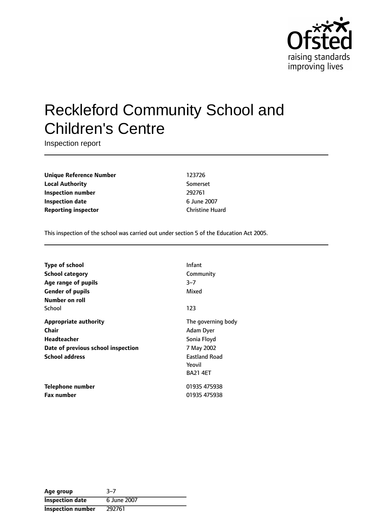

# Reckleford Community School and Children's Centre

Inspection report

**Unique Reference Number** 123726 **Local Authority** Somerset **Inspection number** 292761 **Inspection date** 6 June 2007 **Reporting inspector** Christine Huard

This inspection of the school was carried out under section 5 of the Education Act 2005.

| <b>Type of school</b>              | Infant               |
|------------------------------------|----------------------|
| <b>School category</b>             | Community            |
| Age range of pupils                | $3 - 7$              |
| <b>Gender of pupils</b>            | Mixed                |
| Number on roll                     |                      |
| School                             | 123                  |
| <b>Appropriate authority</b>       | The governing body   |
| Chair                              | Adam Dyer            |
| Headteacher                        | Sonia Floyd          |
| Date of previous school inspection | 7 May 2002           |
| <b>School address</b>              | <b>Eastland Road</b> |
|                                    | Yeovil               |
|                                    | <b>BA21 4ET</b>      |
| Telephone number                   | 01935 475938         |
| <b>Fax number</b>                  | 01935 475938         |

| Age group              | $3 - 7$     |
|------------------------|-------------|
| <b>Inspection date</b> | 6 June 2007 |
| Inspection number      | 292761      |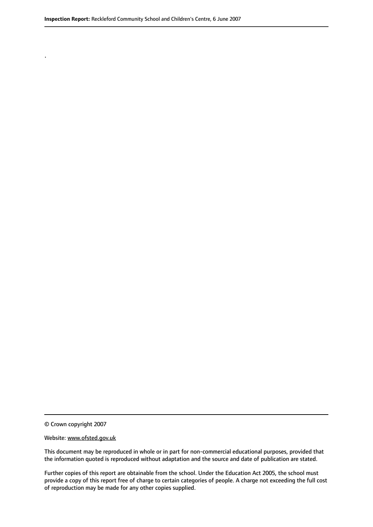© Crown copyright 2007

.

#### Website: www.ofsted.gov.uk

This document may be reproduced in whole or in part for non-commercial educational purposes, provided that the information quoted is reproduced without adaptation and the source and date of publication are stated.

Further copies of this report are obtainable from the school. Under the Education Act 2005, the school must provide a copy of this report free of charge to certain categories of people. A charge not exceeding the full cost of reproduction may be made for any other copies supplied.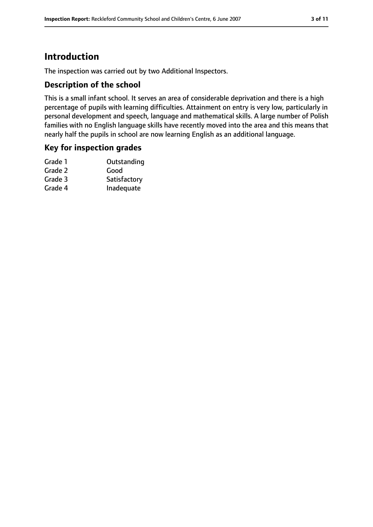# **Introduction**

The inspection was carried out by two Additional Inspectors.

### **Description of the school**

This is a small infant school. It serves an area of considerable deprivation and there is a high percentage of pupils with learning difficulties. Attainment on entry is very low, particularly in personal development and speech, language and mathematical skills. A large number of Polish families with no English language skills have recently moved into the area and this means that nearly half the pupils in school are now learning English as an additional language.

### **Key for inspection grades**

| Grade 1 | Outstanding  |
|---------|--------------|
| Grade 2 | Good         |
| Grade 3 | Satisfactory |
| Grade 4 | Inadequate   |
|         |              |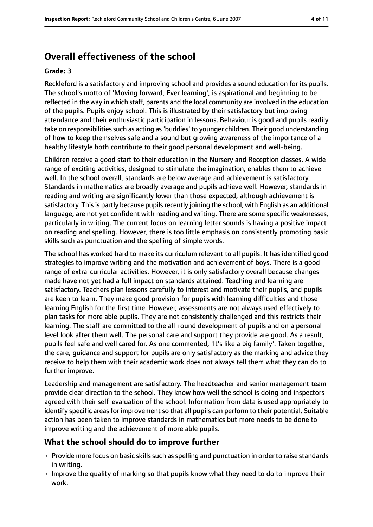# **Overall effectiveness of the school**

#### **Grade: 3**

Reckleford is a satisfactory and improving school and provides a sound education for its pupils. The school's motto of 'Moving forward, Ever learning', is aspirational and beginning to be reflected in the way in which staff, parents and the local community are involved in the education of the pupils. Pupils enjoy school. This is illustrated by their satisfactory but improving attendance and their enthusiastic participation in lessons. Behaviour is good and pupils readily take on responsibilities such as acting as 'buddies' to younger children. Their good understanding of how to keep themselves safe and a sound but growing awareness of the importance of a healthy lifestyle both contribute to their good personal development and well-being.

Children receive a good start to their education in the Nursery and Reception classes. A wide range of exciting activities, designed to stimulate the imagination, enables them to achieve well. In the school overall, standards are below average and achievement is satisfactory. Standards in mathematics are broadly average and pupils achieve well. However, standards in reading and writing are significantly lower than those expected, although achievement is satisfactory. This is partly because pupils recently joining the school, with English as an additional language, are not yet confident with reading and writing. There are some specific weaknesses, particularly in writing. The current focus on learning letter sounds is having a positive impact on reading and spelling. However, there is too little emphasis on consistently promoting basic skills such as punctuation and the spelling of simple words.

The school has worked hard to make its curriculum relevant to all pupils. It has identified good strategies to improve writing and the motivation and achievement of boys. There is a good range of extra-curricular activities. However, it is only satisfactory overall because changes made have not yet had a full impact on standards attained. Teaching and learning are satisfactory. Teachers plan lessons carefully to interest and motivate their pupils, and pupils are keen to learn. They make good provision for pupils with learning difficulties and those learning English for the first time. However, assessments are not always used effectively to plan tasks for more able pupils. They are not consistently challenged and this restricts their learning. The staff are committed to the all-round development of pupils and on a personal level look after them well. The personal care and support they provide are good. As a result, pupils feel safe and well cared for. As one commented, 'It's like a big family'. Taken together, the care, guidance and support for pupils are only satisfactory as the marking and advice they receive to help them with their academic work does not always tell them what they can do to further improve.

Leadership and management are satisfactory. The headteacher and senior management team provide clear direction to the school. They know how well the school is doing and inspectors agreed with their self-evaluation of the school. Information from data is used appropriately to identify specific areas for improvement so that all pupils can perform to their potential. Suitable action has been taken to improve standards in mathematics but more needs to be done to improve writing and the achievement of more able pupils.

## **What the school should do to improve further**

- Provide more focus on basic skills such as spelling and punctuation in order to raise standards in writing.
- Improve the quality of marking so that pupils know what they need to do to improve their work.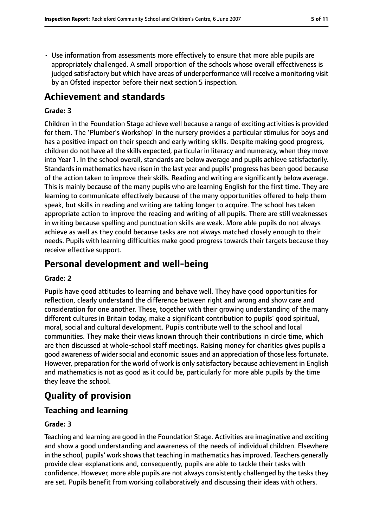• Use information from assessments more effectively to ensure that more able pupils are appropriately challenged. A small proportion of the schools whose overall effectiveness is judged satisfactory but which have areas of underperformance will receive a monitoring visit by an Ofsted inspector before their next section 5 inspection.

# **Achievement and standards**

#### **Grade: 3**

Children in the Foundation Stage achieve well because a range of exciting activities is provided for them. The 'Plumber's Workshop' in the nursery provides a particular stimulus for boys and has a positive impact on their speech and early writing skills. Despite making good progress, children do not have all the skills expected, particular in literacy and numeracy, when they move into Year 1. In the school overall, standards are below average and pupils achieve satisfactorily. Standards in mathematics have risen in the last year and pupils' progress has been good because of the action taken to improve their skills. Reading and writing are significantly below average. This is mainly because of the many pupils who are learning English for the first time. They are learning to communicate effectively because of the many opportunities offered to help them speak, but skills in reading and writing are taking longer to acquire. The school has taken appropriate action to improve the reading and writing of all pupils. There are still weaknesses in writing because spelling and punctuation skills are weak. More able pupils do not always achieve as well as they could because tasks are not always matched closely enough to their needs. Pupils with learning difficulties make good progress towards their targets because they receive effective support.

# **Personal development and well-being**

#### **Grade: 2**

Pupils have good attitudes to learning and behave well. They have good opportunities for reflection, clearly understand the difference between right and wrong and show care and consideration for one another. These, together with their growing understanding of the many different cultures in Britain today, make a significant contribution to pupils' good spiritual, moral, social and cultural development. Pupils contribute well to the school and local communities. They make their views known through their contributions in circle time, which are then discussed at whole-school staff meetings. Raising money for charities gives pupils a good awareness of wider social and economic issues and an appreciation of those less fortunate. However, preparation for the world of work is only satisfactory because achievement in English and mathematics is not as good as it could be, particularly for more able pupils by the time they leave the school.

# **Quality of provision**

### **Teaching and learning**

#### **Grade: 3**

Teaching and learning are good in the Foundation Stage. Activities are imaginative and exciting and show a good understanding and awareness of the needs of individual children. Elsewhere in the school, pupils' work shows that teaching in mathematics has improved. Teachers generally provide clear explanations and, consequently, pupils are able to tackle their tasks with confidence. However, more able pupils are not always consistently challenged by the tasks they are set. Pupils benefit from working collaboratively and discussing their ideas with others.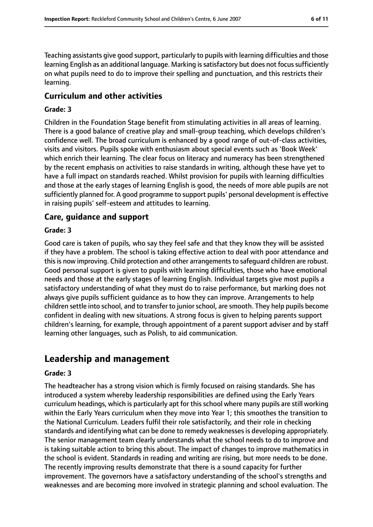Teaching assistants give good support, particularly to pupils with learning difficulties and those learning English as an additional language. Marking is satisfactory but does not focus sufficiently on what pupils need to do to improve their spelling and punctuation, and this restricts their learning.

#### **Curriculum and other activities**

#### **Grade: 3**

Children in the Foundation Stage benefit from stimulating activities in all areas of learning. There is a good balance of creative play and small-group teaching, which develops children's confidence well. The broad curriculum is enhanced by a good range of out-of-class activities, visits and visitors. Pupils spoke with enthusiasm about special events such as 'Book Week' which enrich their learning. The clear focus on literacy and numeracy has been strengthened by the recent emphasis on activities to raise standards in writing, although these have yet to have a full impact on standards reached. Whilst provision for pupils with learning difficulties and those at the early stages of learning English is good, the needs of more able pupils are not sufficiently planned for. A good programme to support pupils' personal development is effective in raising pupils' self-esteem and attitudes to learning.

#### **Care, guidance and support**

#### **Grade: 3**

Good care is taken of pupils, who say they feel safe and that they know they will be assisted if they have a problem. The school is taking effective action to deal with poor attendance and this is now improving. Child protection and other arrangements to safeguard children are robust. Good personal support is given to pupils with learning difficulties, those who have emotional needs and those at the early stages of learning English. Individual targets give most pupils a satisfactory understanding of what they must do to raise performance, but marking does not always give pupils sufficient guidance as to how they can improve. Arrangements to help children settle into school, and to transfer to juniorschool, are smooth. They help pupils become confident in dealing with new situations. A strong focus is given to helping parents support children's learning, for example, through appointment of a parent support adviser and by staff learning other languages, such as Polish, to aid communication.

# **Leadership and management**

#### **Grade: 3**

The headteacher has a strong vision which is firmly focused on raising standards. She has introduced a system whereby leadership responsibilities are defined using the Early Years curriculum headings, which is particularly apt for this school where many pupils are still working within the Early Years curriculum when they move into Year 1; this smoothes the transition to the National Curriculum. Leaders fulfil their role satisfactorily, and their role in checking standards and identifying what can be done to remedy weaknesses is developing appropriately. The senior management team clearly understands what the school needs to do to improve and is taking suitable action to bring this about. The impact of changes to improve mathematics in the school is evident. Standards in reading and writing are rising, but more needs to be done. The recently improving results demonstrate that there is a sound capacity for further improvement. The governors have a satisfactory understanding of the school's strengths and weaknesses and are becoming more involved in strategic planning and school evaluation. The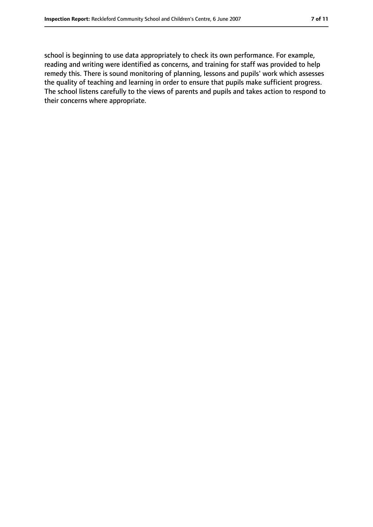school is beginning to use data appropriately to check its own performance. For example, reading and writing were identified as concerns, and training for staff was provided to help remedy this. There is sound monitoring of planning, lessons and pupils' work which assesses the quality of teaching and learning in order to ensure that pupils make sufficient progress. The school listens carefully to the views of parents and pupils and takes action to respond to their concerns where appropriate.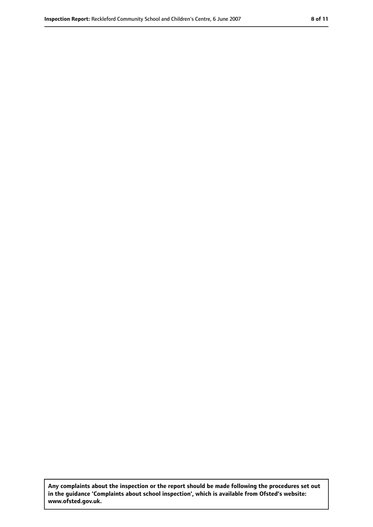**Any complaints about the inspection or the report should be made following the procedures set out in the guidance 'Complaints about school inspection', which is available from Ofsted's website: www.ofsted.gov.uk.**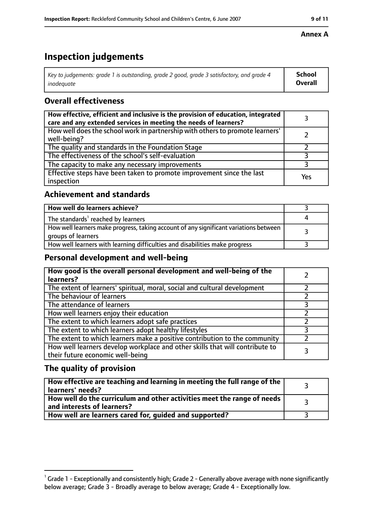# **Inspection judgements**

| Key to judgements: grade 1 is outstanding, grade 2 good, grade 3 satisfactory, and grade 4 | School         |
|--------------------------------------------------------------------------------------------|----------------|
| inadeauate                                                                                 | <b>Overall</b> |

# **Overall effectiveness**

| How effective, efficient and inclusive is the provision of education, integrated<br>care and any extended services in meeting the needs of learners? |     |
|------------------------------------------------------------------------------------------------------------------------------------------------------|-----|
| How well does the school work in partnership with others to promote learners'<br>well-being?                                                         |     |
| The quality and standards in the Foundation Stage                                                                                                    |     |
| The effectiveness of the school's self-evaluation                                                                                                    |     |
| The capacity to make any necessary improvements                                                                                                      |     |
| Effective steps have been taken to promote improvement since the last<br>inspection                                                                  | Yes |

# **Achievement and standards**

| How well do learners achieve?                                                                               |  |
|-------------------------------------------------------------------------------------------------------------|--|
| The standards <sup>1</sup> reached by learners                                                              |  |
| How well learners make progress, taking account of any significant variations between<br>groups of learners |  |
| How well learners with learning difficulties and disabilities make progress                                 |  |

### **Personal development and well-being**

| How good is the overall personal development and well-being of the<br>learners?                                  |  |
|------------------------------------------------------------------------------------------------------------------|--|
| The extent of learners' spiritual, moral, social and cultural development                                        |  |
| The behaviour of learners                                                                                        |  |
| The attendance of learners                                                                                       |  |
| How well learners enjoy their education                                                                          |  |
| The extent to which learners adopt safe practices                                                                |  |
| The extent to which learners adopt healthy lifestyles                                                            |  |
| The extent to which learners make a positive contribution to the community                                       |  |
| How well learners develop workplace and other skills that will contribute to<br>their future economic well-being |  |

## **The quality of provision**

| How effective are teaching and learning in meeting the full range of the<br>learners' needs?          |  |
|-------------------------------------------------------------------------------------------------------|--|
| How well do the curriculum and other activities meet the range of needs<br>and interests of learners? |  |
| How well are learners cared for, quided and supported?                                                |  |

### **Annex A**

 $^1$  Grade 1 - Exceptionally and consistently high; Grade 2 - Generally above average with none significantly below average; Grade 3 - Broadly average to below average; Grade 4 - Exceptionally low.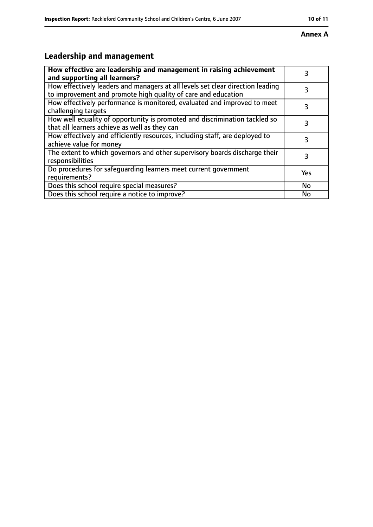#### **Annex A**

# **Leadership and management**

| How effective are leadership and management in raising achievement<br>and supporting all learners?                                              | 3   |
|-------------------------------------------------------------------------------------------------------------------------------------------------|-----|
| How effectively leaders and managers at all levels set clear direction leading<br>to improvement and promote high quality of care and education |     |
| How effectively performance is monitored, evaluated and improved to meet<br>challenging targets                                                 |     |
| How well equality of opportunity is promoted and discrimination tackled so<br>that all learners achieve as well as they can                     | 3   |
| How effectively and efficiently resources, including staff, are deployed to<br>achieve value for money                                          | 3   |
| The extent to which governors and other supervisory boards discharge their<br>responsibilities                                                  |     |
| Do procedures for safequarding learners meet current government<br>requirements?                                                                | Yes |
| Does this school require special measures?                                                                                                      | No  |
| Does this school require a notice to improve?                                                                                                   | No  |